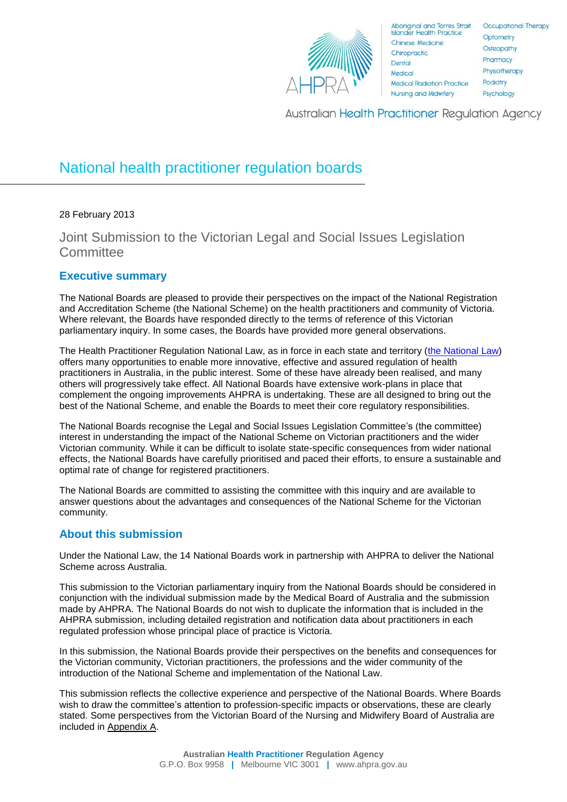

**Australian Health Practitioner Regulation Agency** 

# National health practitioner regulation boards

## 28 February 2013

Joint Submission to the Victorian Legal and Social Issues Legislation **Committee** 

## **Executive summary**

The National Boards are pleased to provide their perspectives on the impact of the National Registration and Accreditation Scheme (the National Scheme) on the health practitioners and community of Victoria. Where relevant, the Boards have responded directly to the terms of reference of this Victorian parliamentary inquiry. In some cases, the Boards have provided more general observations.

The Health Practitioner Regulation National Law, as in force in each state and territory [\(the National Law\)](http://www.ahpra.gov.au/Legislation-and-Publications/Legislation.aspx) offers many opportunities to enable more innovative, effective and assured regulation of health practitioners in Australia, in the public interest. Some of these have already been realised, and many others will progressively take effect. All National Boards have extensive work-plans in place that complement the ongoing improvements AHPRA is undertaking. These are all designed to bring out the best of the National Scheme, and enable the Boards to meet their core regulatory responsibilities.

The National Boards recognise the Legal and Social Issues Legislation Committee's (the committee) interest in understanding the impact of the National Scheme on Victorian practitioners and the wider Victorian community. While it can be difficult to isolate state-specific consequences from wider national effects, the National Boards have carefully prioritised and paced their efforts, to ensure a sustainable and optimal rate of change for registered practitioners.

The National Boards are committed to assisting the committee with this inquiry and are available to answer questions about the advantages and consequences of the National Scheme for the Victorian community.

## **About this submission**

Under the National Law, the 14 National Boards work in partnership with AHPRA to deliver the National Scheme across Australia.

This submission to the Victorian parliamentary inquiry from the National Boards should be considered in conjunction with the individual submission made by the Medical Board of Australia and the submission made by AHPRA. The National Boards do not wish to duplicate the information that is included in the AHPRA submission, including detailed registration and notification data about practitioners in each regulated profession whose principal place of practice is Victoria.

In this submission, the National Boards provide their perspectives on the benefits and consequences for the Victorian community, Victorian practitioners, the professions and the wider community of the introduction of the National Scheme and implementation of the National Law.

This submission reflects the collective experience and perspective of the National Boards. Where Boards wish to draw the committee's attention to profession-specific impacts or observations, these are clearly stated. Some perspectives from the Victorian Board of the Nursing and Midwifery Board of Australia are included in Appendix A.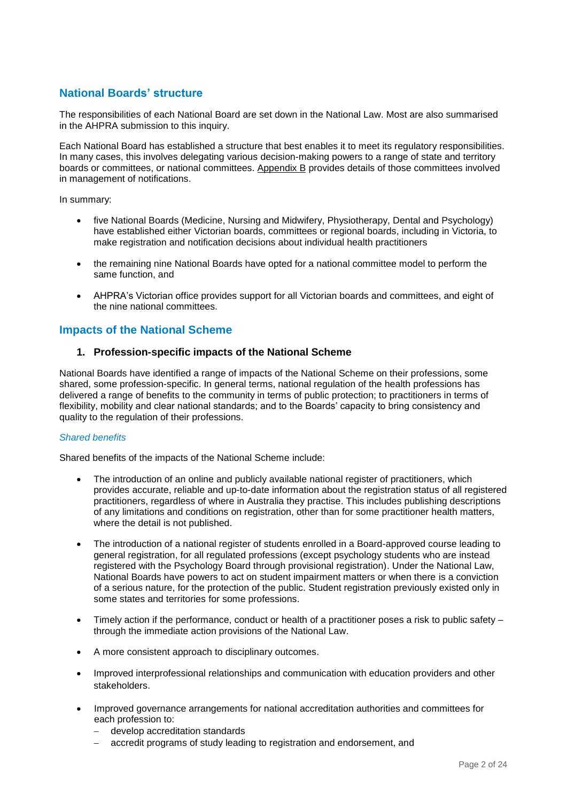# **National Boards' structure**

The responsibilities of each National Board are set down in the National Law. Most are also summarised in the AHPRA submission to this inquiry.

Each National Board has established a structure that best enables it to meet its regulatory responsibilities. In many cases, this involves delegating various decision-making powers to a range of state and territory boards or committees, or national committees. Appendix B provides details of those committees involved in management of notifications.

In summary:

- five National Boards (Medicine, Nursing and Midwifery, Physiotherapy, Dental and Psychology) have established either Victorian boards, committees or regional boards, including in Victoria, to make registration and notification decisions about individual health practitioners
- the remaining nine National Boards have opted for a national committee model to perform the same function, and
- AHPRA's Victorian office provides support for all Victorian boards and committees, and eight of the nine national committees.

## **Impacts of the National Scheme**

## **1. Profession-specific impacts of the National Scheme**

National Boards have identified a range of impacts of the National Scheme on their professions, some shared, some profession-specific. In general terms, national regulation of the health professions has delivered a range of benefits to the community in terms of public protection; to practitioners in terms of flexibility, mobility and clear national standards; and to the Boards' capacity to bring consistency and quality to the regulation of their professions.

#### *Shared benefits*

Shared benefits of the impacts of the National Scheme include:

- The introduction of an online and publicly available national register of practitioners, which provides accurate, reliable and up-to-date information about the registration status of all registered practitioners, regardless of where in Australia they practise. This includes publishing descriptions of any limitations and conditions on registration, other than for some practitioner health matters, where the detail is not published.
- The introduction of a national register of students enrolled in a Board-approved course leading to general registration, for all regulated professions (except psychology students who are instead registered with the Psychology Board through provisional registration). Under the National Law, National Boards have powers to act on student impairment matters or when there is a conviction of a serious nature, for the protection of the public. Student registration previously existed only in some states and territories for some professions.
- Timely action if the performance, conduct or health of a practitioner poses a risk to public safety through the immediate action provisions of the National Law.
- A more consistent approach to disciplinary outcomes.
- Improved interprofessional relationships and communication with education providers and other stakeholders.
- Improved governance arrangements for national accreditation authorities and committees for each profession to:
	- develop accreditation standards
	- accredit programs of study leading to registration and endorsement, and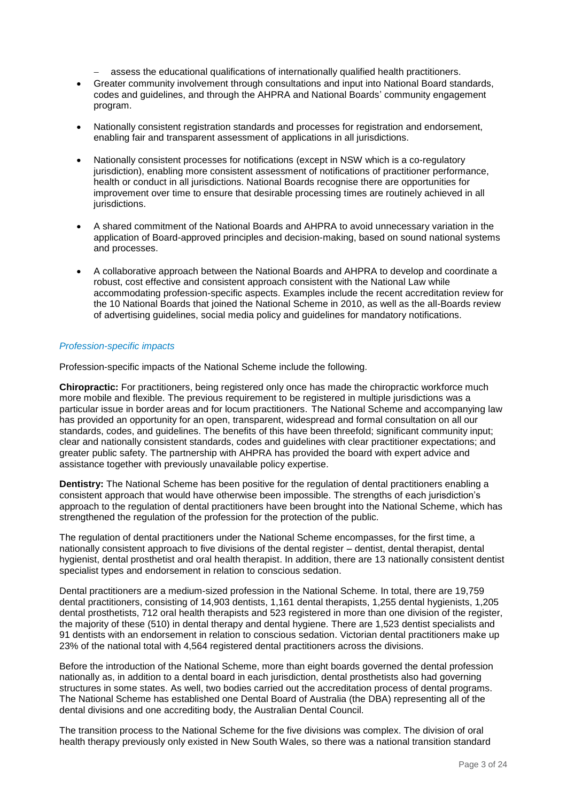- assess the educational qualifications of internationally qualified health practitioners.
- Greater community involvement through consultations and input into National Board standards, codes and guidelines, and through the AHPRA and National Boards' community engagement program.
- Nationally consistent registration standards and processes for registration and endorsement, enabling fair and transparent assessment of applications in all jurisdictions.
- Nationally consistent processes for notifications (except in NSW which is a co-regulatory jurisdiction), enabling more consistent assessment of notifications of practitioner performance, health or conduct in all jurisdictions. National Boards recognise there are opportunities for improvement over time to ensure that desirable processing times are routinely achieved in all jurisdictions.
- A shared commitment of the National Boards and AHPRA to avoid unnecessary variation in the application of Board-approved principles and decision-making, based on sound national systems and processes.
- A collaborative approach between the National Boards and AHPRA to develop and coordinate a robust, cost effective and consistent approach consistent with the National Law while accommodating profession-specific aspects. Examples include the recent accreditation review for the 10 National Boards that joined the National Scheme in 2010, as well as the all-Boards review of advertising guidelines, social media policy and guidelines for mandatory notifications.

#### *Profession-specific impacts*

Profession-specific impacts of the National Scheme include the following.

**Chiropractic:** For practitioners, being registered only once has made the chiropractic workforce much more mobile and flexible. The previous requirement to be registered in multiple jurisdictions was a particular issue in border areas and for locum practitioners. The National Scheme and accompanying law has provided an opportunity for an open, transparent, widespread and formal consultation on all our standards, codes, and guidelines. The benefits of this have been threefold; significant community input; clear and nationally consistent standards, codes and guidelines with clear practitioner expectations; and greater public safety. The partnership with AHPRA has provided the board with expert advice and assistance together with previously unavailable policy expertise.

**Dentistry:** The National Scheme has been positive for the regulation of dental practitioners enabling a consistent approach that would have otherwise been impossible. The strengths of each jurisdiction's approach to the regulation of dental practitioners have been brought into the National Scheme, which has strengthened the regulation of the profession for the protection of the public.

The regulation of dental practitioners under the National Scheme encompasses, for the first time, a nationally consistent approach to five divisions of the dental register – dentist, dental therapist, dental hygienist, dental prosthetist and oral health therapist. In addition, there are 13 nationally consistent dentist specialist types and endorsement in relation to conscious sedation.

Dental practitioners are a medium-sized profession in the National Scheme. In total, there are 19,759 dental practitioners, consisting of 14,903 dentists, 1,161 dental therapists, 1,255 dental hygienists, 1,205 dental prosthetists, 712 oral health therapists and 523 registered in more than one division of the register, the majority of these (510) in dental therapy and dental hygiene. There are 1,523 dentist specialists and 91 dentists with an endorsement in relation to conscious sedation. Victorian dental practitioners make up 23% of the national total with 4,564 registered dental practitioners across the divisions.

Before the introduction of the National Scheme, more than eight boards governed the dental profession nationally as, in addition to a dental board in each jurisdiction, dental prosthetists also had governing structures in some states. As well, two bodies carried out the accreditation process of dental programs. The National Scheme has established one Dental Board of Australia (the DBA) representing all of the dental divisions and one accrediting body, the Australian Dental Council.

The transition process to the National Scheme for the five divisions was complex. The division of oral health therapy previously only existed in New South Wales, so there was a national transition standard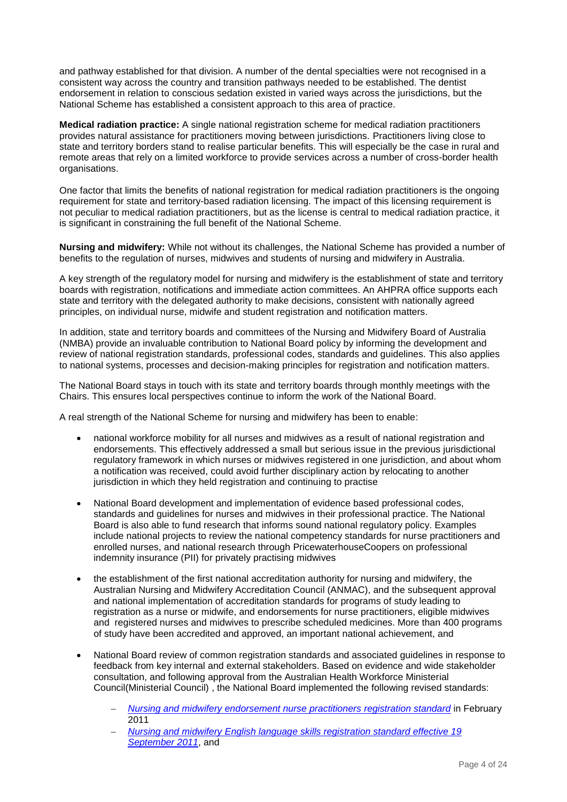and pathway established for that division. A number of the dental specialties were not recognised in a consistent way across the country and transition pathways needed to be established. The dentist endorsement in relation to conscious sedation existed in varied ways across the jurisdictions, but the National Scheme has established a consistent approach to this area of practice.

**Medical radiation practice:** A single national registration scheme for medical radiation practitioners provides natural assistance for practitioners moving between jurisdictions. Practitioners living close to state and territory borders stand to realise particular benefits. This will especially be the case in rural and remote areas that rely on a limited workforce to provide services across a number of cross-border health organisations.

One factor that limits the benefits of national registration for medical radiation practitioners is the ongoing requirement for state and territory-based radiation licensing. The impact of this licensing requirement is not peculiar to medical radiation practitioners, but as the license is central to medical radiation practice, it is significant in constraining the full benefit of the National Scheme.

**Nursing and midwifery:** While not without its challenges, the National Scheme has provided a number of benefits to the regulation of nurses, midwives and students of nursing and midwifery in Australia.

A key strength of the regulatory model for nursing and midwifery is the establishment of state and territory boards with registration, notifications and immediate action committees. An AHPRA office supports each state and territory with the delegated authority to make decisions, consistent with nationally agreed principles, on individual nurse, midwife and student registration and notification matters.

In addition, state and territory boards and committees of the Nursing and Midwifery Board of Australia (NMBA) provide an invaluable contribution to National Board policy by informing the development and review of national registration standards, professional codes, standards and guidelines. This also applies to national systems, processes and decision-making principles for registration and notification matters.

The National Board stays in touch with its state and territory boards through monthly meetings with the Chairs. This ensures local perspectives continue to inform the work of the National Board.

A real strength of the National Scheme for nursing and midwifery has been to enable:

- national workforce mobility for all nurses and midwives as a result of national registration and endorsements. This effectively addressed a small but serious issue in the previous jurisdictional regulatory framework in which nurses or midwives registered in one jurisdiction, and about whom a notification was received, could avoid further disciplinary action by relocating to another jurisdiction in which they held registration and continuing to practise
- National Board development and implementation of evidence based professional codes, standards and guidelines for nurses and midwives in their professional practice. The National Board is also able to fund research that informs sound national regulatory policy. Examples include national projects to review the national competency standards for nurse practitioners and enrolled nurses, and national research through PricewaterhouseCoopers on professional indemnity insurance (PII) for privately practising midwives
- the establishment of the first national accreditation authority for nursing and midwifery, the Australian Nursing and Midwifery Accreditation Council (ANMAC), and the subsequent approval and national implementation of accreditation standards for programs of study leading to registration as a nurse or midwife, and endorsements for nurse practitioners, eligible midwives and registered nurses and midwives to prescribe scheduled medicines. More than 400 programs of study have been accredited and approved, an important national achievement, and
- National Board review of common registration standards and associated guidelines in response to feedback from key internal and external stakeholders. Based on evidence and wide stakeholder consultation, and following approval from the Australian Health Workforce Ministerial Council(Ministerial Council) , the National Board implemented the following revised standards:
	- *[Nursing and midwifery endorsement nurse practitioners registration standard](http://www.nursingmidwiferyboard.gov.au/Registration-Standards.aspx)* in February 2011
	- *[Nursing and midwifery English language skills registration standard effective 19](http://www.nursingmidwiferyboard.gov.au/Registration-Standards.aspx)  [September 2011](http://www.nursingmidwiferyboard.gov.au/Registration-Standards.aspx)*, and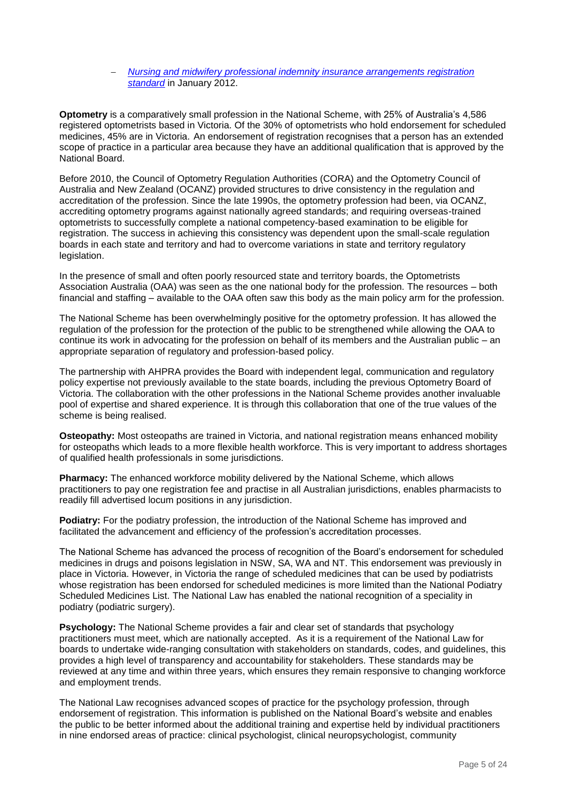#### *Nursing and midwifery [professional indemnity insurance arrangements registration](http://www.nursingmidwiferyboard.gov.au/Registration-Standards.aspx)  [standard](http://www.nursingmidwiferyboard.gov.au/Registration-Standards.aspx)* in January 2012.

**Optometry** is a comparatively small profession in the National Scheme, with 25% of Australia's 4,586 registered optometrists based in Victoria. Of the 30% of optometrists who hold endorsement for scheduled medicines, 45% are in Victoria. An endorsement of registration recognises that a person has an extended scope of practice in a particular area because they have an additional qualification that is approved by the National Board.

Before 2010, the Council of Optometry Regulation Authorities (CORA) and the Optometry Council of Australia and New Zealand (OCANZ) provided structures to drive consistency in the regulation and accreditation of the profession. Since the late 1990s, the optometry profession had been, via OCANZ, accrediting optometry programs against nationally agreed standards; and requiring overseas-trained optometrists to successfully complete a national competency-based examination to be eligible for registration. The success in achieving this consistency was dependent upon the small-scale regulation boards in each state and territory and had to overcome variations in state and territory regulatory legislation.

In the presence of small and often poorly resourced state and territory boards, the Optometrists Association Australia (OAA) was seen as the one national body for the profession. The resources – both financial and staffing – available to the OAA often saw this body as the main policy arm for the profession.

The National Scheme has been overwhelmingly positive for the optometry profession. It has allowed the regulation of the profession for the protection of the public to be strengthened while allowing the OAA to continue its work in advocating for the profession on behalf of its members and the Australian public – an appropriate separation of regulatory and profession-based policy.

The partnership with AHPRA provides the Board with independent legal, communication and regulatory policy expertise not previously available to the state boards, including the previous Optometry Board of Victoria. The collaboration with the other professions in the National Scheme provides another invaluable pool of expertise and shared experience. It is through this collaboration that one of the true values of the scheme is being realised.

**Osteopathy:** Most osteopaths are trained in Victoria, and national registration means enhanced mobility for osteopaths which leads to a more flexible health workforce. This is very important to address shortages of qualified health professionals in some jurisdictions.

**Pharmacy:** The enhanced workforce mobility delivered by the National Scheme, which allows practitioners to pay one registration fee and practise in all Australian jurisdictions, enables pharmacists to readily fill advertised locum positions in any jurisdiction.

**Podiatry:** For the podiatry profession, the introduction of the National Scheme has improved and facilitated the advancement and efficiency of the profession's accreditation processes.

The National Scheme has advanced the process of recognition of the Board's endorsement for scheduled medicines in drugs and poisons legislation in NSW, SA, WA and NT. This endorsement was previously in place in Victoria. However, in Victoria the range of scheduled medicines that can be used by podiatrists whose registration has been endorsed for scheduled medicines is more limited than the National Podiatry Scheduled Medicines List. The National Law has enabled the national recognition of a speciality in podiatry (podiatric surgery).

**Psychology:** The National Scheme provides a fair and clear set of standards that psychology practitioners must meet, which are nationally accepted. As it is a requirement of the National Law for boards to undertake wide-ranging consultation with stakeholders on standards, codes, and guidelines, this provides a high level of transparency and accountability for stakeholders. These standards may be reviewed at any time and within three years, which ensures they remain responsive to changing workforce and employment trends.

The National Law recognises advanced scopes of practice for the psychology profession, through endorsement of registration. This information is published on the National Board's website and enables the public to be better informed about the additional training and expertise held by individual practitioners in nine endorsed areas of practice: clinical psychologist, clinical neuropsychologist, community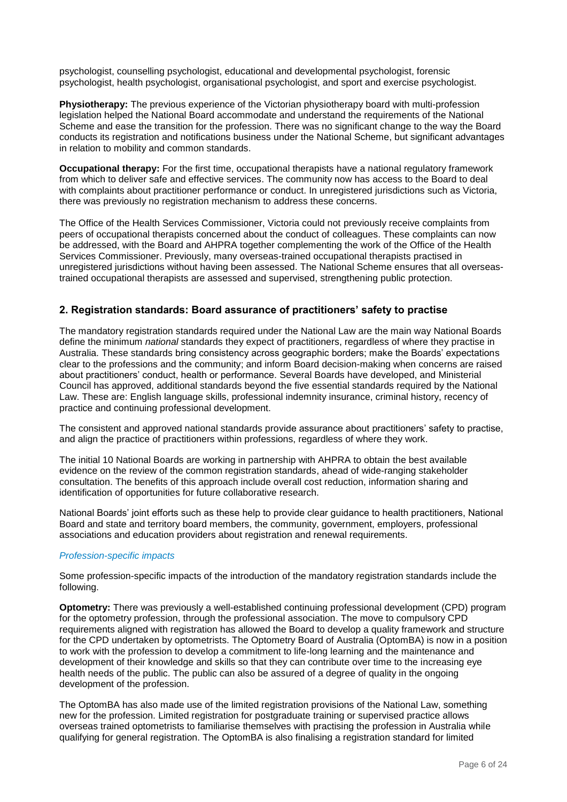psychologist, counselling psychologist, educational and developmental psychologist, forensic psychologist, health psychologist, organisational psychologist, and sport and exercise psychologist.

**Physiotherapy:** The previous experience of the Victorian physiotherapy board with multi-profession legislation helped the National Board accommodate and understand the requirements of the National Scheme and ease the transition for the profession. There was no significant change to the way the Board conducts its registration and notifications business under the National Scheme, but significant advantages in relation to mobility and common standards.

**Occupational therapy:** For the first time, occupational therapists have a national regulatory framework from which to deliver safe and effective services. The community now has access to the Board to deal with complaints about practitioner performance or conduct. In unregistered jurisdictions such as Victoria, there was previously no registration mechanism to address these concerns.

The Office of the Health Services Commissioner, Victoria could not previously receive complaints from peers of occupational therapists concerned about the conduct of colleagues. These complaints can now be addressed, with the Board and AHPRA together complementing the work of the Office of the Health Services Commissioner. Previously, many overseas-trained occupational therapists practised in unregistered jurisdictions without having been assessed. The National Scheme ensures that all overseastrained occupational therapists are assessed and supervised, strengthening public protection.

## **2. Registration standards: Board assurance of practitioners' safety to practise**

The mandatory registration standards required under the National Law are the main way National Boards define the minimum *national* standards they expect of practitioners, regardless of where they practise in Australia. These standards bring consistency across geographic borders; make the Boards' expectations clear to the professions and the community; and inform Board decision-making when concerns are raised about practitioners' conduct, health or performance. Several Boards have developed, and Ministerial Council has approved, additional standards beyond the five essential standards required by the National Law. These are: English language skills, professional indemnity insurance, criminal history, recency of practice and continuing professional development.

The consistent and approved national standards provide assurance about practitioners' safety to practise, and align the practice of practitioners within professions, regardless of where they work.

The initial 10 National Boards are working in partnership with AHPRA to obtain the best available evidence on the review of the common registration standards, ahead of wide-ranging stakeholder consultation. The benefits of this approach include overall cost reduction, information sharing and identification of opportunities for future collaborative research.

National Boards' joint efforts such as these help to provide clear guidance to health practitioners, National Board and state and territory board members, the community, government, employers, professional associations and education providers about registration and renewal requirements.

#### *Profession-specific impacts*

Some profession-specific impacts of the introduction of the mandatory registration standards include the following.

**Optometry:** There was previously a well-established continuing professional development (CPD) program for the optometry profession, through the professional association. The move to compulsory CPD requirements aligned with registration has allowed the Board to develop a quality framework and structure for the CPD undertaken by optometrists. The Optometry Board of Australia (OptomBA) is now in a position to work with the profession to develop a commitment to life-long learning and the maintenance and development of their knowledge and skills so that they can contribute over time to the increasing eye health needs of the public. The public can also be assured of a degree of quality in the ongoing development of the profession.

The OptomBA has also made use of the limited registration provisions of the National Law, something new for the profession. Limited registration for postgraduate training or supervised practice allows overseas trained optometrists to familiarise themselves with practising the profession in Australia while qualifying for general registration. The OptomBA is also finalising a registration standard for limited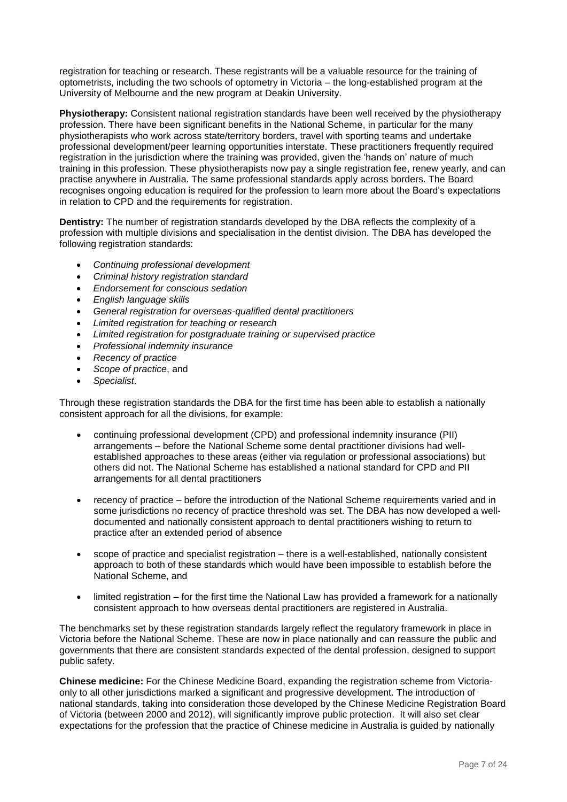registration for teaching or research. These registrants will be a valuable resource for the training of optometrists, including the two schools of optometry in Victoria – the long-established program at the University of Melbourne and the new program at Deakin University.

**Physiotherapy:** Consistent national registration standards have been well received by the physiotherapy profession. There have been significant benefits in the National Scheme, in particular for the many physiotherapists who work across state/territory borders, travel with sporting teams and undertake professional development/peer learning opportunities interstate. These practitioners frequently required registration in the jurisdiction where the training was provided, given the 'hands on' nature of much training in this profession. These physiotherapists now pay a single registration fee, renew yearly, and can practise anywhere in Australia. The same professional standards apply across borders. The Board recognises ongoing education is required for the profession to learn more about the Board's expectations in relation to CPD and the requirements for registration.

**Dentistry:** The number of registration standards developed by the DBA reflects the complexity of a profession with multiple divisions and specialisation in the dentist division. The DBA has developed the following registration standards:

- *Continuing professional development*
- *Criminal history registration standard*
- *Endorsement for conscious sedation*
- *English language skills*
- *General registration for overseas-qualified dental practitioners*
- *Limited registration for teaching or research*
- *Limited registration for postgraduate training or supervised practice*
- *Professional indemnity insurance*
- *Recency of practice*
- *Scope of practice*, and
- *Specialist*.

Through these registration standards the DBA for the first time has been able to establish a nationally consistent approach for all the divisions, for example:

- continuing professional development (CPD) and professional indemnity insurance (PII) arrangements – before the National Scheme some dental practitioner divisions had wellestablished approaches to these areas (either via regulation or professional associations) but others did not. The National Scheme has established a national standard for CPD and PII arrangements for all dental practitioners
- recency of practice before the introduction of the National Scheme requirements varied and in some jurisdictions no recency of practice threshold was set. The DBA has now developed a welldocumented and nationally consistent approach to dental practitioners wishing to return to practice after an extended period of absence
- scope of practice and specialist registration there is a well-established, nationally consistent approach to both of these standards which would have been impossible to establish before the National Scheme, and
- limited registration for the first time the National Law has provided a framework for a nationally consistent approach to how overseas dental practitioners are registered in Australia.

The benchmarks set by these registration standards largely reflect the regulatory framework in place in Victoria before the National Scheme. These are now in place nationally and can reassure the public and governments that there are consistent standards expected of the dental profession, designed to support public safety.

**Chinese medicine:** For the Chinese Medicine Board, expanding the registration scheme from Victoriaonly to all other jurisdictions marked a significant and progressive development. The introduction of national standards, taking into consideration those developed by the Chinese Medicine Registration Board of Victoria (between 2000 and 2012), will significantly improve public protection. It will also set clear expectations for the profession that the practice of Chinese medicine in Australia is guided by nationally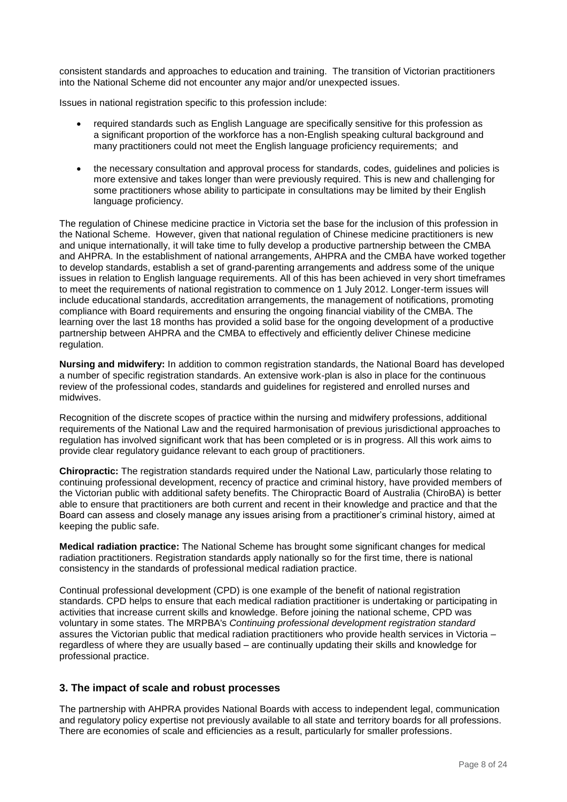consistent standards and approaches to education and training. The transition of Victorian practitioners into the National Scheme did not encounter any major and/or unexpected issues.

Issues in national registration specific to this profession include:

- required standards such as English Language are specifically sensitive for this profession as a significant proportion of the workforce has a non-English speaking cultural background and many practitioners could not meet the English language proficiency requirements; and
- the necessary consultation and approval process for standards, codes, guidelines and policies is more extensive and takes longer than were previously required. This is new and challenging for some practitioners whose ability to participate in consultations may be limited by their English language proficiency.

The regulation of Chinese medicine practice in Victoria set the base for the inclusion of this profession in the National Scheme. However, given that national regulation of Chinese medicine practitioners is new and unique internationally, it will take time to fully develop a productive partnership between the CMBA and AHPRA. In the establishment of national arrangements, AHPRA and the CMBA have worked together to develop standards, establish a set of grand-parenting arrangements and address some of the unique issues in relation to English language requirements. All of this has been achieved in very short timeframes to meet the requirements of national registration to commence on 1 July 2012. Longer-term issues will include educational standards, accreditation arrangements, the management of notifications, promoting compliance with Board requirements and ensuring the ongoing financial viability of the CMBA. The learning over the last 18 months has provided a solid base for the ongoing development of a productive partnership between AHPRA and the CMBA to effectively and efficiently deliver Chinese medicine regulation.

**Nursing and midwifery:** In addition to common registration standards, the National Board has developed a number of specific registration standards. An extensive work-plan is also in place for the continuous review of the professional codes, standards and guidelines for registered and enrolled nurses and midwives.

Recognition of the discrete scopes of practice within the nursing and midwifery professions, additional requirements of the National Law and the required harmonisation of previous jurisdictional approaches to regulation has involved significant work that has been completed or is in progress. All this work aims to provide clear regulatory guidance relevant to each group of practitioners.

**Chiropractic:** The registration standards required under the National Law, particularly those relating to continuing professional development, recency of practice and criminal history, have provided members of the Victorian public with additional safety benefits. The Chiropractic Board of Australia (ChiroBA) is better able to ensure that practitioners are both current and recent in their knowledge and practice and that the Board can assess and closely manage any issues arising from a practitioner's criminal history, aimed at keeping the public safe.

**Medical radiation practice:** The National Scheme has brought some significant changes for medical radiation practitioners. Registration standards apply nationally so for the first time, there is national consistency in the standards of professional medical radiation practice.

Continual professional development (CPD) is one example of the benefit of national registration standards. CPD helps to ensure that each medical radiation practitioner is undertaking or participating in activities that increase current skills and knowledge. Before joining the national scheme, CPD was voluntary in some states. The MRPBA's *Continuing professional development registration standard* assures the Victorian public that medical radiation practitioners who provide health services in Victoria – regardless of where they are usually based – are continually updating their skills and knowledge for professional practice.

## **3. The impact of scale and robust processes**

The partnership with AHPRA provides National Boards with access to independent legal, communication and regulatory policy expertise not previously available to all state and territory boards for all professions. There are economies of scale and efficiencies as a result, particularly for smaller professions.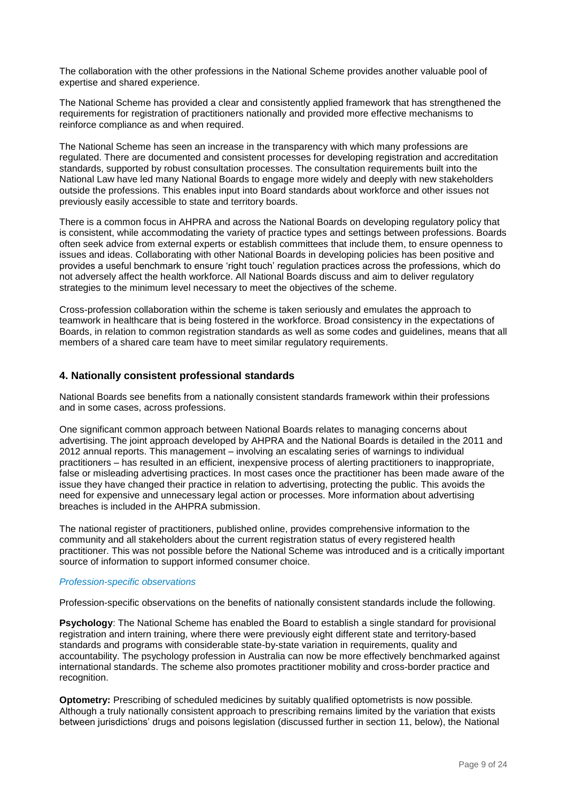The collaboration with the other professions in the National Scheme provides another valuable pool of expertise and shared experience.

The National Scheme has provided a clear and consistently applied framework that has strengthened the requirements for registration of practitioners nationally and provided more effective mechanisms to reinforce compliance as and when required.

The National Scheme has seen an increase in the transparency with which many professions are regulated. There are documented and consistent processes for developing registration and accreditation standards, supported by robust consultation processes. The consultation requirements built into the National Law have led many National Boards to engage more widely and deeply with new stakeholders outside the professions. This enables input into Board standards about workforce and other issues not previously easily accessible to state and territory boards.

There is a common focus in AHPRA and across the National Boards on developing regulatory policy that is consistent, while accommodating the variety of practice types and settings between professions. Boards often seek advice from external experts or establish committees that include them, to ensure openness to issues and ideas. Collaborating with other National Boards in developing policies has been positive and provides a useful benchmark to ensure 'right touch' regulation practices across the professions, which do not adversely affect the health workforce. All National Boards discuss and aim to deliver regulatory strategies to the minimum level necessary to meet the objectives of the scheme.

Cross-profession collaboration within the scheme is taken seriously and emulates the approach to teamwork in healthcare that is being fostered in the workforce. Broad consistency in the expectations of Boards, in relation to common registration standards as well as some codes and guidelines, means that all members of a shared care team have to meet similar regulatory requirements.

## **4. Nationally consistent professional standards**

National Boards see benefits from a nationally consistent standards framework within their professions and in some cases, across professions.

One significant common approach between National Boards relates to managing concerns about advertising. The joint approach developed by AHPRA and the National Boards is detailed in the 2011 and 2012 annual reports. This management – involving an escalating series of warnings to individual practitioners – has resulted in an efficient, inexpensive process of alerting practitioners to inappropriate, false or misleading advertising practices. In most cases once the practitioner has been made aware of the issue they have changed their practice in relation to advertising, protecting the public. This avoids the need for expensive and unnecessary legal action or processes. More information about advertising breaches is included in the AHPRA submission.

The national register of practitioners, published online, provides comprehensive information to the community and all stakeholders about the current registration status of every registered health practitioner. This was not possible before the National Scheme was introduced and is a critically important source of information to support informed consumer choice.

#### *Profession-specific observations*

Profession-specific observations on the benefits of nationally consistent standards include the following.

**Psychology**: The National Scheme has enabled the Board to establish a single standard for provisional registration and intern training, where there were previously eight different state and territory-based standards and programs with considerable state-by-state variation in requirements, quality and accountability. The psychology profession in Australia can now be more effectively benchmarked against international standards. The scheme also promotes practitioner mobility and cross-border practice and recognition.

**Optometry:** Prescribing of scheduled medicines by suitably qualified optometrists is now possible*.*  Although a truly nationally consistent approach to prescribing remains limited by the variation that exists between jurisdictions' drugs and poisons legislation (discussed further in section 11, below), the National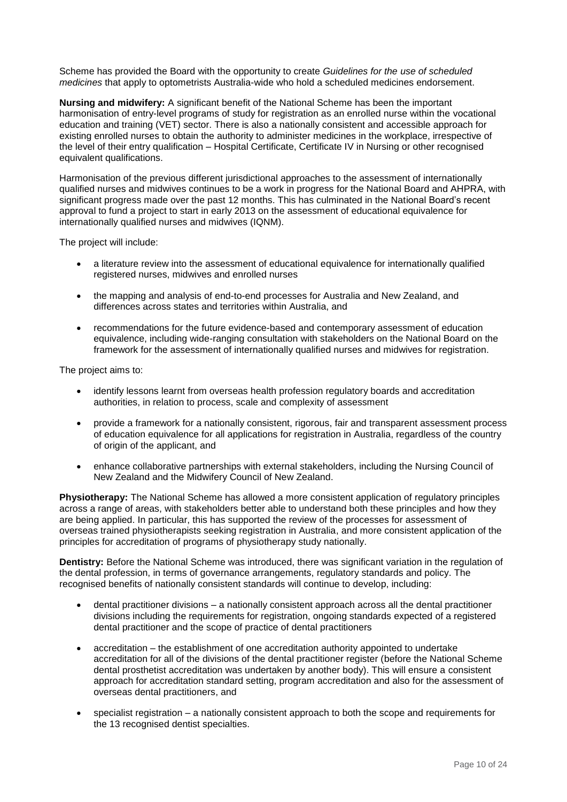Scheme has provided the Board with the opportunity to create *Guidelines for the use of scheduled medicines* that apply to optometrists Australia-wide who hold a scheduled medicines endorsement.

**Nursing and midwifery:** A significant benefit of the National Scheme has been the important harmonisation of entry-level programs of study for registration as an enrolled nurse within the vocational education and training (VET) sector. There is also a nationally consistent and accessible approach for existing enrolled nurses to obtain the authority to administer medicines in the workplace, irrespective of the level of their entry qualification – Hospital Certificate, Certificate IV in Nursing or other recognised equivalent qualifications.

Harmonisation of the previous different jurisdictional approaches to the assessment of internationally qualified nurses and midwives continues to be a work in progress for the National Board and AHPRA, with significant progress made over the past 12 months. This has culminated in the National Board's recent approval to fund a project to start in early 2013 on the assessment of educational equivalence for internationally qualified nurses and midwives (IQNM).

The project will include:

- a literature review into the assessment of educational equivalence for internationally qualified registered nurses, midwives and enrolled nurses
- the mapping and analysis of end-to-end processes for Australia and New Zealand, and differences across states and territories within Australia, and
- recommendations for the future evidence-based and contemporary assessment of education equivalence, including wide-ranging consultation with stakeholders on the National Board on the framework for the assessment of internationally qualified nurses and midwives for registration.

The project aims to:

- identify lessons learnt from overseas health profession regulatory boards and accreditation authorities, in relation to process, scale and complexity of assessment
- provide a framework for a nationally consistent, rigorous, fair and transparent assessment process of education equivalence for all applications for registration in Australia, regardless of the country of origin of the applicant, and
- enhance collaborative partnerships with external stakeholders, including the Nursing Council of New Zealand and the Midwifery Council of New Zealand.

**Physiotherapy:** The National Scheme has allowed a more consistent application of regulatory principles across a range of areas, with stakeholders better able to understand both these principles and how they are being applied. In particular, this has supported the review of the processes for assessment of overseas trained physiotherapists seeking registration in Australia, and more consistent application of the principles for accreditation of programs of physiotherapy study nationally.

**Dentistry:** Before the National Scheme was introduced, there was significant variation in the regulation of the dental profession, in terms of governance arrangements, regulatory standards and policy. The recognised benefits of nationally consistent standards will continue to develop, including:

- dental practitioner divisions a nationally consistent approach across all the dental practitioner divisions including the requirements for registration, ongoing standards expected of a registered dental practitioner and the scope of practice of dental practitioners
- accreditation the establishment of one accreditation authority appointed to undertake accreditation for all of the divisions of the dental practitioner register (before the National Scheme dental prosthetist accreditation was undertaken by another body). This will ensure a consistent approach for accreditation standard setting, program accreditation and also for the assessment of overseas dental practitioners, and
- specialist registration a nationally consistent approach to both the scope and requirements for the 13 recognised dentist specialties.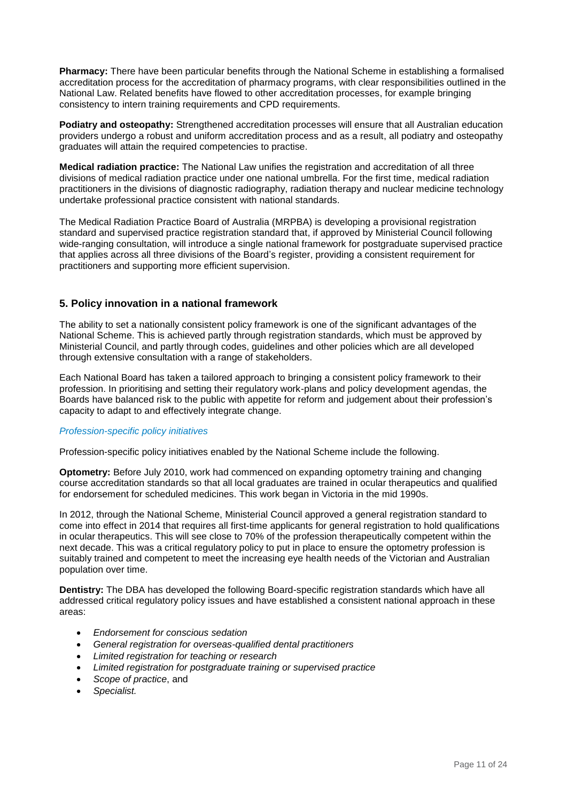**Pharmacy:** There have been particular benefits through the National Scheme in establishing a formalised accreditation process for the accreditation of pharmacy programs, with clear responsibilities outlined in the National Law. Related benefits have flowed to other accreditation processes, for example bringing consistency to intern training requirements and CPD requirements.

**Podiatry and osteopathy:** Strengthened accreditation processes will ensure that all Australian education providers undergo a robust and uniform accreditation process and as a result, all podiatry and osteopathy graduates will attain the required competencies to practise.

**Medical radiation practice:** The National Law unifies the registration and accreditation of all three divisions of medical radiation practice under one national umbrella. For the first time, medical radiation practitioners in the divisions of diagnostic radiography, radiation therapy and nuclear medicine technology undertake professional practice consistent with national standards.

The Medical Radiation Practice Board of Australia (MRPBA) is developing a provisional registration standard and supervised practice registration standard that, if approved by Ministerial Council following wide-ranging consultation, will introduce a single national framework for postgraduate supervised practice that applies across all three divisions of the Board's register, providing a consistent requirement for practitioners and supporting more efficient supervision.

## **5. Policy innovation in a national framework**

The ability to set a nationally consistent policy framework is one of the significant advantages of the National Scheme. This is achieved partly through registration standards, which must be approved by Ministerial Council, and partly through codes, guidelines and other policies which are all developed through extensive consultation with a range of stakeholders.

Each National Board has taken a tailored approach to bringing a consistent policy framework to their profession. In prioritising and setting their regulatory work-plans and policy development agendas, the Boards have balanced risk to the public with appetite for reform and judgement about their profession's capacity to adapt to and effectively integrate change.

## *Profession-specific policy initiatives*

Profession-specific policy initiatives enabled by the National Scheme include the following.

**Optometry:** Before July 2010, work had commenced on expanding optometry training and changing course accreditation standards so that all local graduates are trained in ocular therapeutics and qualified for endorsement for scheduled medicines. This work began in Victoria in the mid 1990s.

In 2012, through the National Scheme, Ministerial Council approved a general registration standard to come into effect in 2014 that requires all first-time applicants for general registration to hold qualifications in ocular therapeutics. This will see close to 70% of the profession therapeutically competent within the next decade. This was a critical regulatory policy to put in place to ensure the optometry profession is suitably trained and competent to meet the increasing eye health needs of the Victorian and Australian population over time.

**Dentistry:** The DBA has developed the following Board-specific registration standards which have all addressed critical regulatory policy issues and have established a consistent national approach in these areas:

- *Endorsement for conscious sedation*
- *General registration for overseas-qualified dental practitioners*
- *Limited registration for teaching or research*
- *Limited registration for postgraduate training or supervised practice*
- *Scope of practice*, and
- *Specialist.*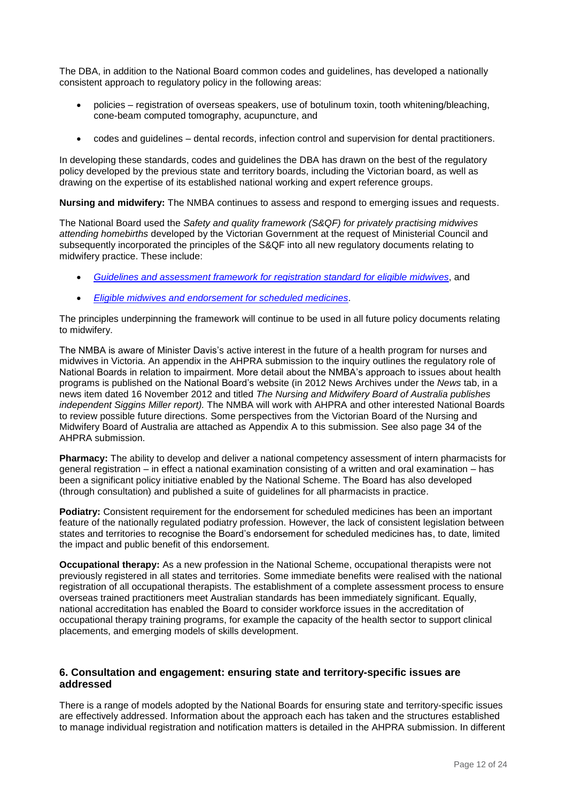The DBA, in addition to the National Board common codes and guidelines, has developed a nationally consistent approach to regulatory policy in the following areas:

- policies registration of overseas speakers, use of botulinum toxin, tooth whitening/bleaching, cone-beam computed tomography, acupuncture, and
- codes and guidelines dental records, infection control and supervision for dental practitioners.

In developing these standards, codes and guidelines the DBA has drawn on the best of the regulatory policy developed by the previous state and territory boards, including the Victorian board, as well as drawing on the expertise of its established national working and expert reference groups.

**Nursing and midwifery:** The NMBA continues to assess and respond to emerging issues and requests.

The National Board used the *Safety and quality framework (S&QF) for privately practising midwives attending homebirths* developed by the Victorian Government at the request of Ministerial Council and subsequently incorporated the principles of the S&QF into all new regulatory documents relating to midwifery practice. These include:

- *[Guidelines and assessment framework for registration standard for eligible midwives](http://www.nursingmidwiferyboard.gov.au/Codes-Guidelines-Statements/Codes-Guidelines.aspx#guidelinesandassessmentframeworksforregistrationstandards)*, and
- *[Eligible midwives and endorsement for scheduled medicines](http://www.nursingmidwiferyboard.gov.au/Codes-Guidelines-Statements/Codes-Guidelines.aspx#guidelinesandassessmentframeworksforregistrationstandards)*.

The principles underpinning the framework will continue to be used in all future policy documents relating to midwifery.

The NMBA is aware of Minister Davis's active interest in the future of a health program for nurses and midwives in Victoria. An appendix in the AHPRA submission to the inquiry outlines the regulatory role of National Boards in relation to impairment. More detail about the NMBA's approach to issues about health programs is published on the National Board's website (in 2012 News Archives under the *News* tab, in a news item dated 16 November 2012 and titled *The Nursing and Midwifery Board of Australia publishes independent Siggins Miller report).* The NMBA will work with AHPRA and other interested National Boards to review possible future directions. Some perspectives from the Victorian Board of the Nursing and Midwifery Board of Australia are attached as Appendix A to this submission. See also page 34 of the AHPRA submission.

**Pharmacy:** The ability to develop and deliver a national competency assessment of intern pharmacists for general registration – in effect a national examination consisting of a written and oral examination – has been a significant policy initiative enabled by the National Scheme. The Board has also developed (through consultation) and published a suite of guidelines for all pharmacists in practice.

**Podiatry:** Consistent requirement for the endorsement for scheduled medicines has been an important feature of the nationally regulated podiatry profession. However, the lack of consistent legislation between states and territories to recognise the Board's endorsement for scheduled medicines has, to date, limited the impact and public benefit of this endorsement.

**Occupational therapy:** As a new profession in the National Scheme, occupational therapists were not previously registered in all states and territories. Some immediate benefits were realised with the national registration of all occupational therapists. The establishment of a complete assessment process to ensure overseas trained practitioners meet Australian standards has been immediately significant. Equally, national accreditation has enabled the Board to consider workforce issues in the accreditation of occupational therapy training programs, for example the capacity of the health sector to support clinical placements, and emerging models of skills development.

## **6. Consultation and engagement: ensuring state and territory-specific issues are addressed**

There is a range of models adopted by the National Boards for ensuring state and territory-specific issues are effectively addressed. Information about the approach each has taken and the structures established to manage individual registration and notification matters is detailed in the AHPRA submission. In different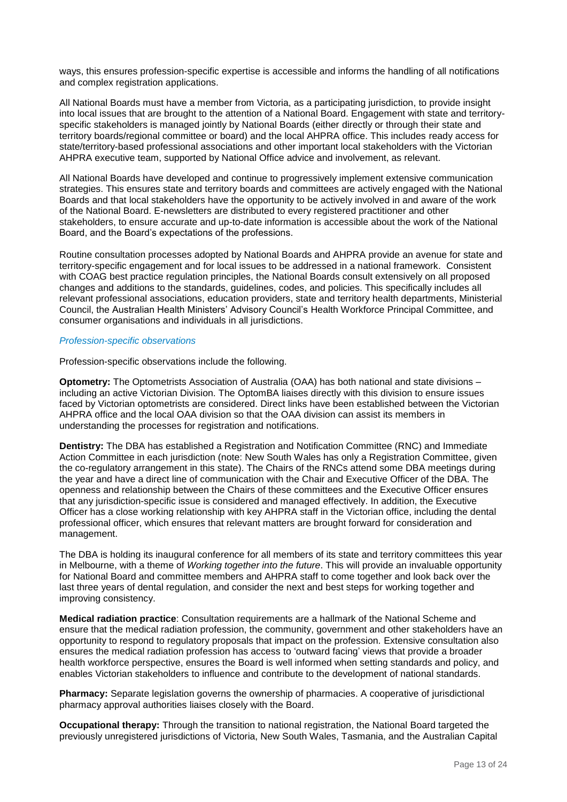ways, this ensures profession-specific expertise is accessible and informs the handling of all notifications and complex registration applications.

All National Boards must have a member from Victoria, as a participating jurisdiction, to provide insight into local issues that are brought to the attention of a National Board. Engagement with state and territoryspecific stakeholders is managed jointly by National Boards (either directly or through their state and territory boards/regional committee or board) and the local AHPRA office. This includes ready access for state/territory-based professional associations and other important local stakeholders with the Victorian AHPRA executive team, supported by National Office advice and involvement, as relevant.

All National Boards have developed and continue to progressively implement extensive communication strategies. This ensures state and territory boards and committees are actively engaged with the National Boards and that local stakeholders have the opportunity to be actively involved in and aware of the work of the National Board. E-newsletters are distributed to every registered practitioner and other stakeholders, to ensure accurate and up-to-date information is accessible about the work of the National Board, and the Board's expectations of the professions.

Routine consultation processes adopted by National Boards and AHPRA provide an avenue for state and territory-specific engagement and for local issues to be addressed in a national framework. Consistent with COAG best practice regulation principles, the National Boards consult extensively on all proposed changes and additions to the standards, guidelines, codes, and policies. This specifically includes all relevant professional associations, education providers, state and territory health departments, Ministerial Council, the Australian Health Ministers' Advisory Council's Health Workforce Principal Committee, and consumer organisations and individuals in all jurisdictions.

#### *Profession-specific observations*

Profession-specific observations include the following.

**Optometry:** The Optometrists Association of Australia (OAA) has both national and state divisions – including an active Victorian Division. The OptomBA liaises directly with this division to ensure issues faced by Victorian optometrists are considered. Direct links have been established between the Victorian AHPRA office and the local OAA division so that the OAA division can assist its members in understanding the processes for registration and notifications.

**Dentistry:** The DBA has established a Registration and Notification Committee (RNC) and Immediate Action Committee in each jurisdiction (note: New South Wales has only a Registration Committee, given the co-regulatory arrangement in this state). The Chairs of the RNCs attend some DBA meetings during the year and have a direct line of communication with the Chair and Executive Officer of the DBA. The openness and relationship between the Chairs of these committees and the Executive Officer ensures that any jurisdiction-specific issue is considered and managed effectively. In addition, the Executive Officer has a close working relationship with key AHPRA staff in the Victorian office, including the dental professional officer, which ensures that relevant matters are brought forward for consideration and management.

The DBA is holding its inaugural conference for all members of its state and territory committees this year in Melbourne, with a theme of *Working together into the future*. This will provide an invaluable opportunity for National Board and committee members and AHPRA staff to come together and look back over the last three years of dental regulation, and consider the next and best steps for working together and improving consistency.

**Medical radiation practice**: Consultation requirements are a hallmark of the National Scheme and ensure that the medical radiation profession, the community, government and other stakeholders have an opportunity to respond to regulatory proposals that impact on the profession. Extensive consultation also ensures the medical radiation profession has access to 'outward facing' views that provide a broader health workforce perspective, ensures the Board is well informed when setting standards and policy, and enables Victorian stakeholders to influence and contribute to the development of national standards.

**Pharmacy:** Separate legislation governs the ownership of pharmacies. A cooperative of jurisdictional pharmacy approval authorities liaises closely with the Board.

**Occupational therapy:** Through the transition to national registration, the National Board targeted the previously unregistered jurisdictions of Victoria, New South Wales, Tasmania, and the Australian Capital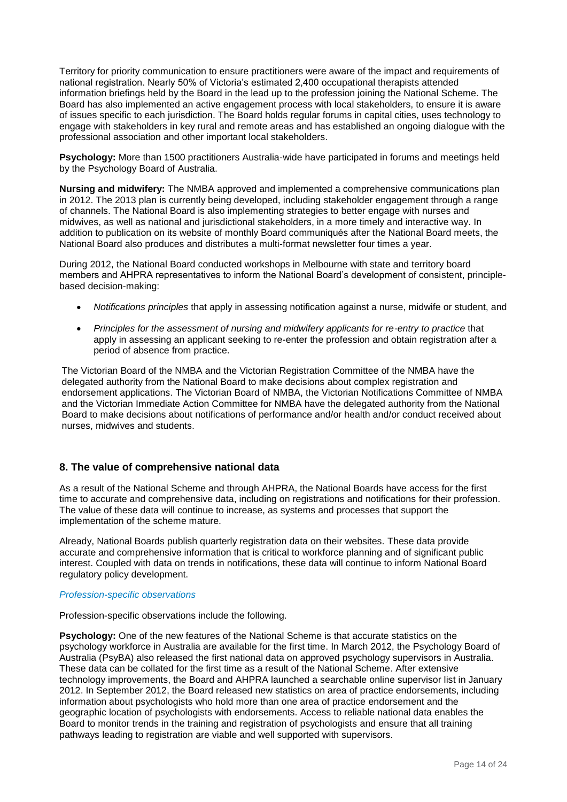Territory for priority communication to ensure practitioners were aware of the impact and requirements of national registration. Nearly 50% of Victoria's estimated 2,400 occupational therapists attended information briefings held by the Board in the lead up to the profession joining the National Scheme. The Board has also implemented an active engagement process with local stakeholders, to ensure it is aware of issues specific to each jurisdiction. The Board holds regular forums in capital cities, uses technology to engage with stakeholders in key rural and remote areas and has established an ongoing dialogue with the professional association and other important local stakeholders.

**Psychology:** More than 1500 practitioners Australia-wide have participated in forums and meetings held by the Psychology Board of Australia.

**Nursing and midwifery:** The NMBA approved and implemented a comprehensive communications plan in 2012. The 2013 plan is currently being developed, including stakeholder engagement through a range of channels. The National Board is also implementing strategies to better engage with nurses and midwives, as well as national and jurisdictional stakeholders, in a more timely and interactive way. In addition to publication on its website of monthly Board communiqués after the National Board meets, the National Board also produces and distributes a multi-format newsletter four times a year.

During 2012, the National Board conducted workshops in Melbourne with state and territory board members and AHPRA representatives to inform the National Board's development of consistent, principlebased decision-making:

- *Notifications principles* that apply in assessing notification against a nurse, midwife or student, and
- *Principles for the assessment of nursing and midwifery applicants for re-entry to practice* that apply in assessing an applicant seeking to re-enter the profession and obtain registration after a period of absence from practice.

The Victorian Board of the NMBA and the Victorian Registration Committee of the NMBA have the delegated authority from the National Board to make decisions about complex registration and endorsement applications. The Victorian Board of NMBA, the Victorian Notifications Committee of NMBA and the Victorian Immediate Action Committee for NMBA have the delegated authority from the National Board to make decisions about notifications of performance and/or health and/or conduct received about nurses, midwives and students.

## **8. The value of comprehensive national data**

As a result of the National Scheme and through AHPRA, the National Boards have access for the first time to accurate and comprehensive data, including on registrations and notifications for their profession. The value of these data will continue to increase, as systems and processes that support the implementation of the scheme mature.

Already, National Boards publish quarterly registration data on their websites. These data provide accurate and comprehensive information that is critical to workforce planning and of significant public interest. Coupled with data on trends in notifications, these data will continue to inform National Board regulatory policy development.

## *Profession-specific observations*

Profession-specific observations include the following.

**Psychology:** One of the new features of the National Scheme is that accurate statistics on the psychology workforce in Australia are available for the first time. In March 2012, the Psychology Board of Australia (PsyBA) also released the first national data on approved psychology supervisors in Australia. These data can be collated for the first time as a result of the National Scheme. After extensive technology improvements, the Board and AHPRA launched a searchable online supervisor list in January 2012. In September 2012, the Board released new statistics on area of practice endorsements, including information about psychologists who hold more than one area of practice endorsement and the geographic location of psychologists with endorsements. Access to reliable national data enables the Board to monitor trends in the training and registration of psychologists and ensure that all training pathways leading to registration are viable and well supported with supervisors.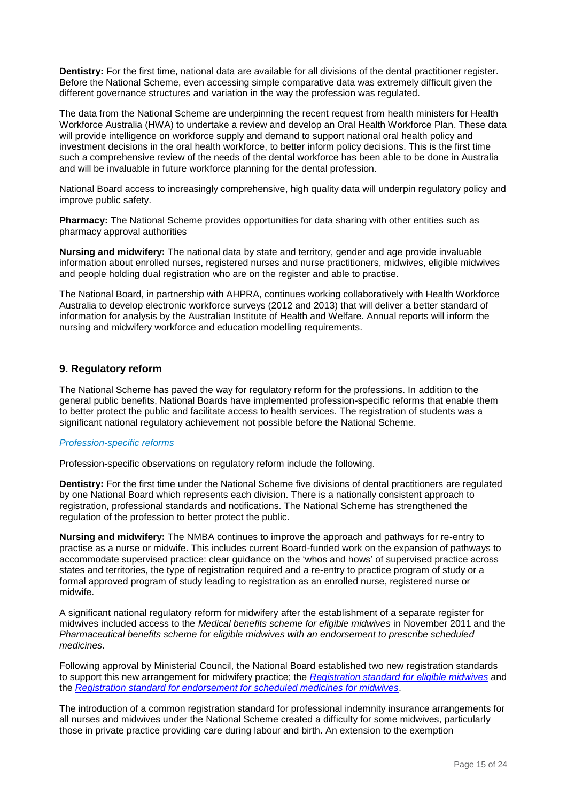**Dentistry:** For the first time, national data are available for all divisions of the dental practitioner register. Before the National Scheme, even accessing simple comparative data was extremely difficult given the different governance structures and variation in the way the profession was regulated.

The data from the National Scheme are underpinning the recent request from health ministers for Health Workforce Australia (HWA) to undertake a review and develop an Oral Health Workforce Plan. These data will provide intelligence on workforce supply and demand to support national oral health policy and investment decisions in the oral health workforce, to better inform policy decisions. This is the first time such a comprehensive review of the needs of the dental workforce has been able to be done in Australia and will be invaluable in future workforce planning for the dental profession.

National Board access to increasingly comprehensive, high quality data will underpin regulatory policy and improve public safety.

**Pharmacy:** The National Scheme provides opportunities for data sharing with other entities such as pharmacy approval authorities

**Nursing and midwifery:** The national data by state and territory, gender and age provide invaluable information about enrolled nurses, registered nurses and nurse practitioners, midwives, eligible midwives and people holding dual registration who are on the register and able to practise.

The National Board, in partnership with AHPRA, continues working collaboratively with Health Workforce Australia to develop electronic workforce surveys (2012 and 2013) that will deliver a better standard of information for analysis by the Australian Institute of Health and Welfare. Annual reports will inform the nursing and midwifery workforce and education modelling requirements.

## **9. Regulatory reform**

The National Scheme has paved the way for regulatory reform for the professions. In addition to the general public benefits, National Boards have implemented profession-specific reforms that enable them to better protect the public and facilitate access to health services. The registration of students was a significant national regulatory achievement not possible before the National Scheme.

#### *Profession-specific reforms*

Profession-specific observations on regulatory reform include the following.

**Dentistry:** For the first time under the National Scheme five divisions of dental practitioners are regulated by one National Board which represents each division. There is a nationally consistent approach to registration, professional standards and notifications. The National Scheme has strengthened the regulation of the profession to better protect the public.

**Nursing and midwifery:** The NMBA continues to improve the approach and pathways for re-entry to practise as a nurse or midwife. This includes current Board-funded work on the expansion of pathways to accommodate supervised practice: clear guidance on the 'whos and hows' of supervised practice across states and territories, the type of registration required and a re-entry to practice program of study or a formal approved program of study leading to registration as an enrolled nurse, registered nurse or midwife.

A significant national regulatory reform for midwifery after the establishment of a separate register for midwives included access to the *Medical benefits scheme for eligible midwives* in November 2011 and the *Pharmaceutical benefits scheme for eligible midwives with an endorsement to prescribe scheduled medicines*.

Following approval by Ministerial Council, the National Board established two new registration standards to support this new arrangement for midwifery practice; the *[Registration standard for eligible midwives](http://www.nursingmidwiferyboard.gov.au/Registration-Standards.aspx)* and the *[Registration standard for endorsement for scheduled medicines for midwives](http://www.nursingmidwiferyboard.gov.au/Registration-Standards.aspx)*.

The introduction of a common registration standard for professional indemnity insurance arrangements for all nurses and midwives under the National Scheme created a difficulty for some midwives, particularly those in private practice providing care during labour and birth. An extension to the exemption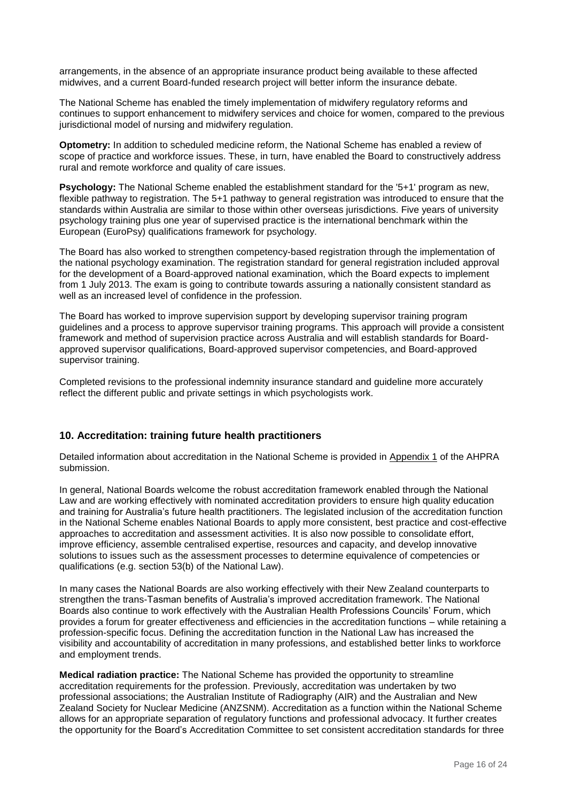arrangements, in the absence of an appropriate insurance product being available to these affected midwives, and a current Board-funded research project will better inform the insurance debate.

The National Scheme has enabled the timely implementation of midwifery regulatory reforms and continues to support enhancement to midwifery services and choice for women, compared to the previous jurisdictional model of nursing and midwifery regulation.

**Optometry:** In addition to scheduled medicine reform, the National Scheme has enabled a review of scope of practice and workforce issues. These, in turn, have enabled the Board to constructively address rural and remote workforce and quality of care issues.

**Psychology:** The National Scheme enabled the establishment standard for the '5+1' program as new, flexible pathway to registration. The 5+1 pathway to general registration was introduced to ensure that the standards within Australia are similar to those within other overseas jurisdictions. Five years of university psychology training plus one year of supervised practice is the international benchmark within the European (EuroPsy) qualifications framework for psychology.

The Board has also worked to strengthen competency-based registration through the implementation of the national psychology examination. The registration standard for general registration included approval for the development of a Board-approved national examination, which the Board expects to implement from 1 July 2013. The exam is going to contribute towards assuring a nationally consistent standard as well as an increased level of confidence in the profession.

The Board has worked to improve supervision support by developing supervisor training program guidelines and a process to approve supervisor training programs. This approach will provide a consistent framework and method of supervision practice across Australia and will establish standards for Boardapproved supervisor qualifications, Board-approved supervisor competencies, and Board-approved supervisor training.

Completed revisions to the professional indemnity insurance standard and guideline more accurately reflect the different public and private settings in which psychologists work.

## **10. Accreditation: training future health practitioners**

Detailed information about accreditation in the National Scheme is provided in Appendix 1 of the AHPRA submission.

In general, National Boards welcome the robust accreditation framework enabled through the National Law and are working effectively with nominated accreditation providers to ensure high quality education and training for Australia's future health practitioners. The legislated inclusion of the accreditation function in the National Scheme enables National Boards to apply more consistent, best practice and cost-effective approaches to accreditation and assessment activities. It is also now possible to consolidate effort, improve efficiency, assemble centralised expertise, resources and capacity, and develop innovative solutions to issues such as the assessment processes to determine equivalence of competencies or qualifications (e.g. section 53(b) of the National Law).

In many cases the National Boards are also working effectively with their New Zealand counterparts to strengthen the trans-Tasman benefits of Australia's improved accreditation framework. The National Boards also continue to work effectively with the Australian Health Professions Councils' Forum, which provides a forum for greater effectiveness and efficiencies in the accreditation functions – while retaining a profession-specific focus. Defining the accreditation function in the National Law has increased the visibility and accountability of accreditation in many professions, and established better links to workforce and employment trends.

**Medical radiation practice:** The National Scheme has provided the opportunity to streamline accreditation requirements for the profession. Previously, accreditation was undertaken by two professional associations; the Australian Institute of Radiography (AIR) and the Australian and New Zealand Society for Nuclear Medicine (ANZSNM). Accreditation as a function within the National Scheme allows for an appropriate separation of regulatory functions and professional advocacy. It further creates the opportunity for the Board's Accreditation Committee to set consistent accreditation standards for three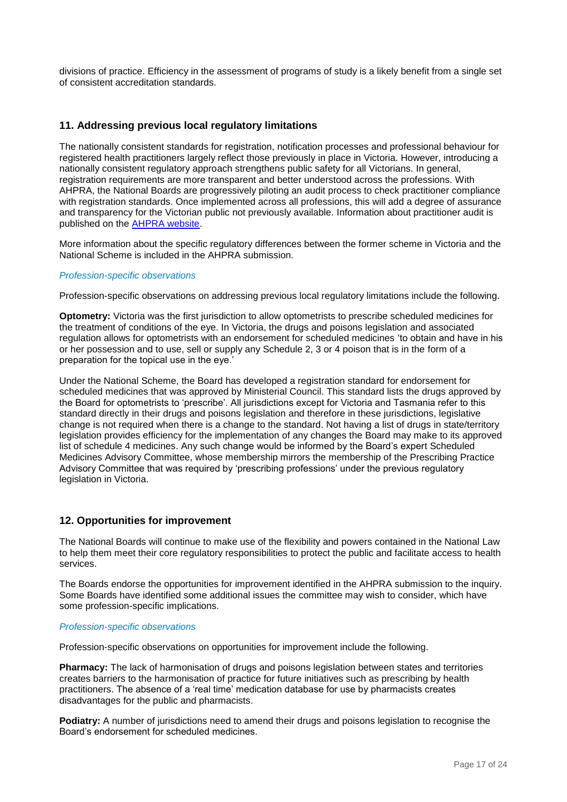divisions of practice. Efficiency in the assessment of programs of study is a likely benefit from a single set of consistent accreditation standards.

## **11. Addressing previous local regulatory limitations**

The nationally consistent standards for registration, notification processes and professional behaviour for registered health practitioners largely reflect those previously in place in Victoria. However, introducing a nationally consistent regulatory approach strengthens public safety for all Victorians. In general, registration requirements are more transparent and better understood across the professions. With AHPRA, the National Boards are progressively piloting an audit process to check practitioner compliance with registration standards. Once implemented across all professions, this will add a degree of assurance and transparency for the Victorian public not previously available. Information about practitioner audit is published on the [AHPRA website.](http://www.ahpra.gov.au/Registration/Audit.aspx)

More information about the specific regulatory differences between the former scheme in Victoria and the National Scheme is included in the AHPRA submission.

#### *Profession-specific observations*

Profession-specific observations on addressing previous local regulatory limitations include the following.

**Optometry:** Victoria was the first jurisdiction to allow optometrists to prescribe scheduled medicines for the treatment of conditions of the eye. In Victoria, the drugs and poisons legislation and associated regulation allows for optometrists with an endorsement for scheduled medicines 'to obtain and have in his or her possession and to use, sell or supply any Schedule 2, 3 or 4 poison that is in the form of a preparation for the topical use in the eye.'

Under the National Scheme, the Board has developed a registration standard for endorsement for scheduled medicines that was approved by Ministerial Council. This standard lists the drugs approved by the Board for optometrists to 'prescribe'. All jurisdictions except for Victoria and Tasmania refer to this standard directly in their drugs and poisons legislation and therefore in these jurisdictions, legislative change is not required when there is a change to the standard. Not having a list of drugs in state/territory legislation provides efficiency for the implementation of any changes the Board may make to its approved list of schedule 4 medicines. Any such change would be informed by the Board's expert Scheduled Medicines Advisory Committee, whose membership mirrors the membership of the Prescribing Practice Advisory Committee that was required by 'prescribing professions' under the previous regulatory legislation in Victoria.

## **12. Opportunities for improvement**

The National Boards will continue to make use of the flexibility and powers contained in the National Law to help them meet their core regulatory responsibilities to protect the public and facilitate access to health services.

The Boards endorse the opportunities for improvement identified in the AHPRA submission to the inquiry. Some Boards have identified some additional issues the committee may wish to consider, which have some profession-specific implications.

#### *Profession-specific observations*

Profession-specific observations on opportunities for improvement include the following.

**Pharmacy:** The lack of harmonisation of drugs and poisons legislation between states and territories creates barriers to the harmonisation of practice for future initiatives such as prescribing by health practitioners. The absence of a 'real time' medication database for use by pharmacists creates disadvantages for the public and pharmacists.

**Podiatry:** A number of jurisdictions need to amend their drugs and poisons legislation to recognise the Board's endorsement for scheduled medicines.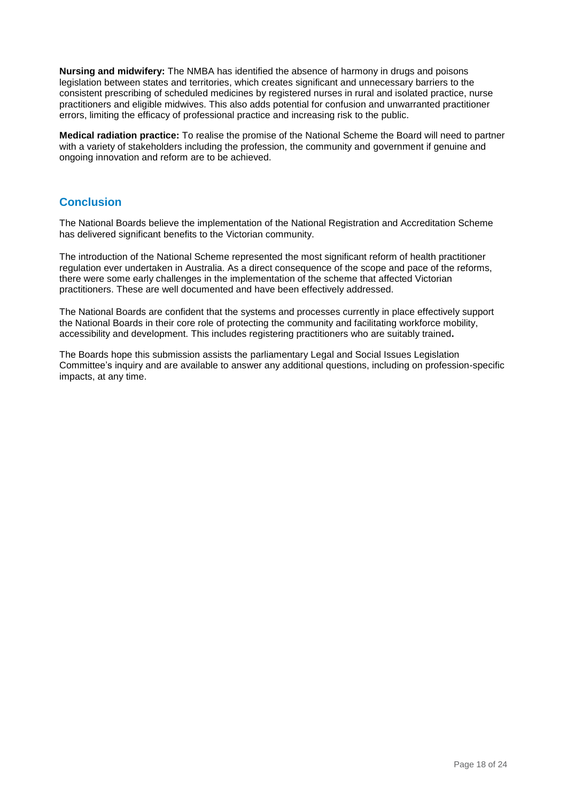**Nursing and midwifery:** The NMBA has identified the absence of harmony in drugs and poisons legislation between states and territories, which creates significant and unnecessary barriers to the consistent prescribing of scheduled medicines by registered nurses in rural and isolated practice, nurse practitioners and eligible midwives. This also adds potential for confusion and unwarranted practitioner errors, limiting the efficacy of professional practice and increasing risk to the public.

**Medical radiation practice:** To realise the promise of the National Scheme the Board will need to partner with a variety of stakeholders including the profession, the community and government if genuine and ongoing innovation and reform are to be achieved.

## **Conclusion**

The National Boards believe the implementation of the National Registration and Accreditation Scheme has delivered significant benefits to the Victorian community.

The introduction of the National Scheme represented the most significant reform of health practitioner regulation ever undertaken in Australia. As a direct consequence of the scope and pace of the reforms, there were some early challenges in the implementation of the scheme that affected Victorian practitioners. These are well documented and have been effectively addressed.

The National Boards are confident that the systems and processes currently in place effectively support the National Boards in their core role of protecting the community and facilitating workforce mobility, accessibility and development. This includes registering practitioners who are suitably trained**.**

The Boards hope this submission assists the parliamentary Legal and Social Issues Legislation Committee's inquiry and are available to answer any additional questions, including on profession-specific impacts, at any time.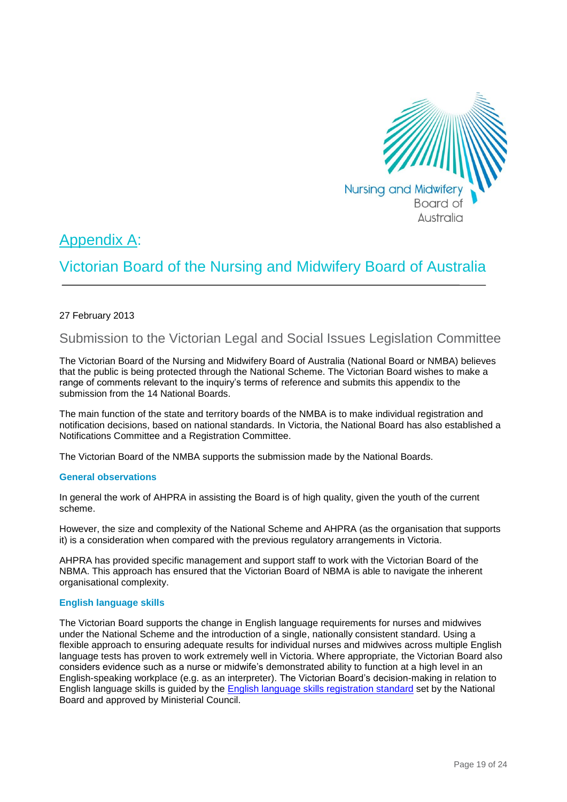

# Appendix A:

# Victorian Board of the Nursing and Midwifery Board of Australia

## 27 February 2013

# Submission to the Victorian Legal and Social Issues Legislation Committee

The Victorian Board of the Nursing and Midwifery Board of Australia (National Board or NMBA) believes that the public is being protected through the National Scheme. The Victorian Board wishes to make a range of comments relevant to the inquiry's terms of reference and submits this appendix to the submission from the 14 National Boards.

The main function of the state and territory boards of the NMBA is to make individual registration and notification decisions, based on national standards. In Victoria, the National Board has also established a Notifications Committee and a Registration Committee.

The Victorian Board of the NMBA supports the submission made by the National Boards.

#### **General observations**

In general the work of AHPRA in assisting the Board is of high quality, given the youth of the current scheme.

However, the size and complexity of the National Scheme and AHPRA (as the organisation that supports it) is a consideration when compared with the previous regulatory arrangements in Victoria.

AHPRA has provided specific management and support staff to work with the Victorian Board of the NBMA. This approach has ensured that the Victorian Board of NBMA is able to navigate the inherent organisational complexity.

## **English language skills**

The Victorian Board supports the change in English language requirements for nurses and midwives under the National Scheme and the introduction of a single, nationally consistent standard. Using a flexible approach to ensuring adequate results for individual nurses and midwives across multiple English language tests has proven to work extremely well in Victoria. Where appropriate, the Victorian Board also considers evidence such as a nurse or midwife's demonstrated ability to function at a high level in an English-speaking workplace (e.g. as an interpreter). The Victorian Board's decision-making in relation to English language skills is guided by the [English language skills registration standard](http://www.nursingmidwiferyboard.gov.au/Registration-Standards.aspx) set by the National Board and approved by Ministerial Council.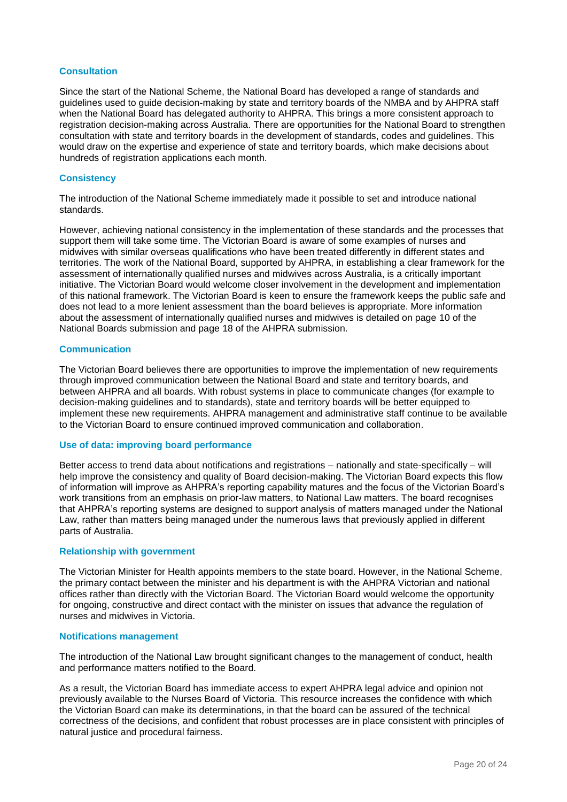#### **Consultation**

Since the start of the National Scheme, the National Board has developed a range of standards and guidelines used to guide decision-making by state and territory boards of the NMBA and by AHPRA staff when the National Board has delegated authority to AHPRA. This brings a more consistent approach to registration decision-making across Australia. There are opportunities for the National Board to strengthen consultation with state and territory boards in the development of standards, codes and guidelines. This would draw on the expertise and experience of state and territory boards, which make decisions about hundreds of registration applications each month.

#### **Consistency**

The introduction of the National Scheme immediately made it possible to set and introduce national standards.

However, achieving national consistency in the implementation of these standards and the processes that support them will take some time. The Victorian Board is aware of some examples of nurses and midwives with similar overseas qualifications who have been treated differently in different states and territories. The work of the National Board, supported by AHPRA, in establishing a clear framework for the assessment of internationally qualified nurses and midwives across Australia, is a critically important initiative. The Victorian Board would welcome closer involvement in the development and implementation of this national framework. The Victorian Board is keen to ensure the framework keeps the public safe and does not lead to a more lenient assessment than the board believes is appropriate. More information about the assessment of internationally qualified nurses and midwives is detailed on page 10 of the National Boards submission and page 18 of the AHPRA submission.

#### **Communication**

The Victorian Board believes there are opportunities to improve the implementation of new requirements through improved communication between the National Board and state and territory boards, and between AHPRA and all boards. With robust systems in place to communicate changes (for example to decision-making guidelines and to standards), state and territory boards will be better equipped to implement these new requirements. AHPRA management and administrative staff continue to be available to the Victorian Board to ensure continued improved communication and collaboration.

#### **Use of data: improving board performance**

Better access to trend data about notifications and registrations – nationally and state-specifically – will help improve the consistency and quality of Board decision-making. The Victorian Board expects this flow of information will improve as AHPRA's reporting capability matures and the focus of the Victorian Board's work transitions from an emphasis on prior-law matters, to National Law matters. The board recognises that AHPRA's reporting systems are designed to support analysis of matters managed under the National Law, rather than matters being managed under the numerous laws that previously applied in different parts of Australia.

#### **Relationship with government**

The Victorian Minister for Health appoints members to the state board. However, in the National Scheme, the primary contact between the minister and his department is with the AHPRA Victorian and national offices rather than directly with the Victorian Board. The Victorian Board would welcome the opportunity for ongoing, constructive and direct contact with the minister on issues that advance the regulation of nurses and midwives in Victoria.

#### **Notifications management**

The introduction of the National Law brought significant changes to the management of conduct, health and performance matters notified to the Board.

As a result, the Victorian Board has immediate access to expert AHPRA legal advice and opinion not previously available to the Nurses Board of Victoria. This resource increases the confidence with which the Victorian Board can make its determinations, in that the board can be assured of the technical correctness of the decisions, and confident that robust processes are in place consistent with principles of natural justice and procedural fairness.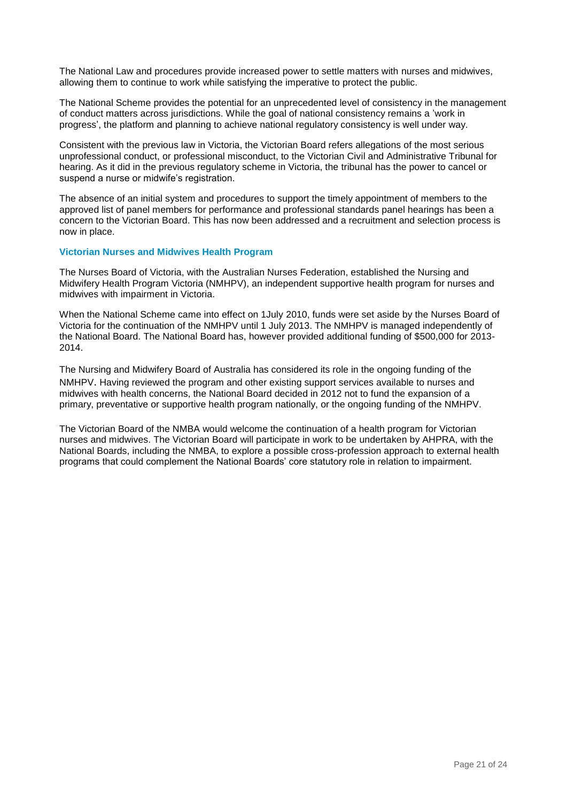The National Law and procedures provide increased power to settle matters with nurses and midwives, allowing them to continue to work while satisfying the imperative to protect the public.

The National Scheme provides the potential for an unprecedented level of consistency in the management of conduct matters across jurisdictions. While the goal of national consistency remains a 'work in progress', the platform and planning to achieve national regulatory consistency is well under way.

Consistent with the previous law in Victoria, the Victorian Board refers allegations of the most serious unprofessional conduct, or professional misconduct, to the Victorian Civil and Administrative Tribunal for hearing. As it did in the previous regulatory scheme in Victoria, the tribunal has the power to cancel or suspend a nurse or midwife's registration.

The absence of an initial system and procedures to support the timely appointment of members to the approved list of panel members for performance and professional standards panel hearings has been a concern to the Victorian Board. This has now been addressed and a recruitment and selection process is now in place.

#### **Victorian Nurses and Midwives Health Program**

The Nurses Board of Victoria, with the Australian Nurses Federation, established the Nursing and Midwifery Health Program Victoria (NMHPV), an independent supportive health program for nurses and midwives with impairment in Victoria.

When the National Scheme came into effect on 1July 2010, funds were set aside by the Nurses Board of Victoria for the continuation of the NMHPV until 1 July 2013. The NMHPV is managed independently of the National Board. The National Board has, however provided additional funding of \$500,000 for 2013- 2014.

The Nursing and Midwifery Board of Australia has considered its role in the ongoing funding of the NMHPV. Having reviewed the program and other existing support services available to nurses and midwives with health concerns, the National Board decided in 2012 not to fund the expansion of a primary, preventative or supportive health program nationally, or the ongoing funding of the NMHPV.

The Victorian Board of the NMBA would welcome the continuation of a health program for Victorian nurses and midwives. The Victorian Board will participate in work to be undertaken by AHPRA, with the National Boards, including the NMBA, to explore a possible cross-profession approach to external health programs that could complement the National Boards' core statutory role in relation to impairment.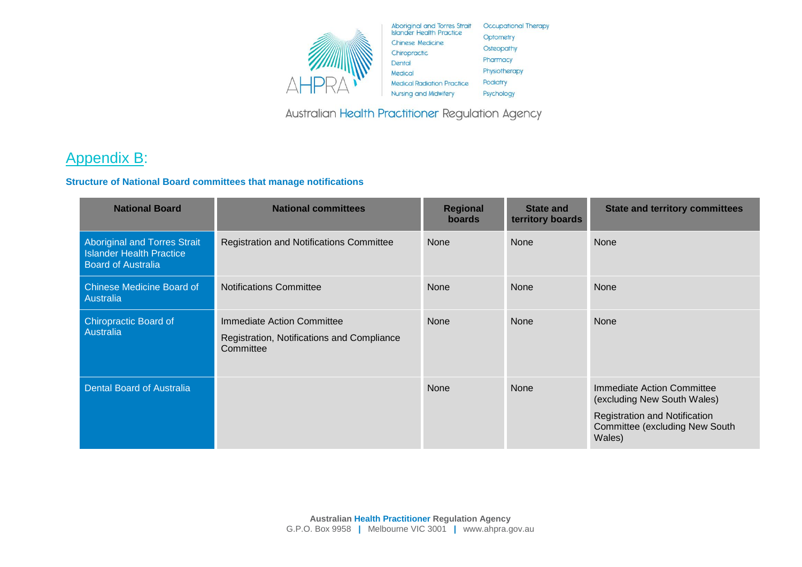

Australian Health Practitioner Regulation Agency

# Appendix B:

## **Structure of National Board committees that manage notifications**

| <b>National Board</b>                                                                               | <b>National committees</b>                                                            | <b>Regional</b><br><b>boards</b> | <b>State and</b><br>territory boards | <b>State and territory committees</b>                                                                                                         |
|-----------------------------------------------------------------------------------------------------|---------------------------------------------------------------------------------------|----------------------------------|--------------------------------------|-----------------------------------------------------------------------------------------------------------------------------------------------|
| <b>Aboriginal and Torres Strait</b><br><b>Islander Health Practice</b><br><b>Board of Australia</b> | <b>Registration and Notifications Committee</b>                                       | None                             | None                                 | None                                                                                                                                          |
| <b>Chinese Medicine Board of</b><br>Australia                                                       | <b>Notifications Committee</b>                                                        | <b>None</b>                      | <b>None</b>                          | <b>None</b>                                                                                                                                   |
| <b>Chiropractic Board of</b><br>Australia                                                           | Immediate Action Committee<br>Registration, Notifications and Compliance<br>Committee | <b>None</b>                      | <b>None</b>                          | <b>None</b>                                                                                                                                   |
| <b>Dental Board of Australia</b>                                                                    |                                                                                       | <b>None</b>                      | None                                 | Immediate Action Committee<br>(excluding New South Wales)<br>Registration and Notification<br><b>Committee (excluding New South</b><br>Wales) |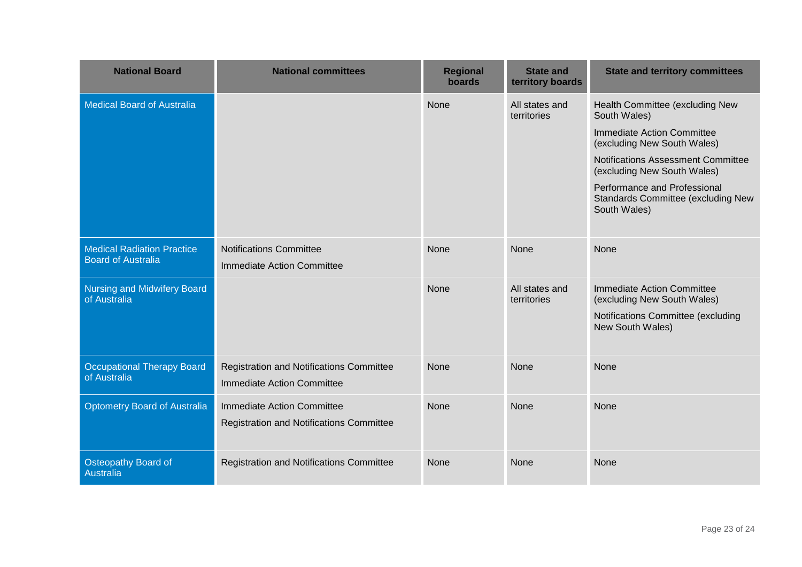| <b>National Board</b>                                          | <b>National committees</b>                                                           | <b>Regional</b><br>boards | <b>State and</b><br>territory boards | <b>State and territory committees</b>                                                                                                                                                                                                                                          |
|----------------------------------------------------------------|--------------------------------------------------------------------------------------|---------------------------|--------------------------------------|--------------------------------------------------------------------------------------------------------------------------------------------------------------------------------------------------------------------------------------------------------------------------------|
| <b>Medical Board of Australia</b>                              |                                                                                      | None                      | All states and<br>territories        | Health Committee (excluding New<br>South Wales)<br>Immediate Action Committee<br>(excluding New South Wales)<br><b>Notifications Assessment Committee</b><br>(excluding New South Wales)<br>Performance and Professional<br>Standards Committee (excluding New<br>South Wales) |
| <b>Medical Radiation Practice</b><br><b>Board of Australia</b> | <b>Notifications Committee</b><br><b>Immediate Action Committee</b>                  | <b>None</b>               | None                                 | None                                                                                                                                                                                                                                                                           |
| <b>Nursing and Midwifery Board</b><br>of Australia             |                                                                                      | <b>None</b>               | All states and<br>territories        | Immediate Action Committee<br>(excluding New South Wales)<br>Notifications Committee (excluding<br>New South Wales)                                                                                                                                                            |
| <b>Occupational Therapy Board</b><br>of Australia              | <b>Registration and Notifications Committee</b><br><b>Immediate Action Committee</b> | None                      | None                                 | None                                                                                                                                                                                                                                                                           |
| <b>Optometry Board of Australia</b>                            | Immediate Action Committee<br><b>Registration and Notifications Committee</b>        | None                      | None                                 | None                                                                                                                                                                                                                                                                           |
| <b>Osteopathy Board of</b><br>Australia                        | <b>Registration and Notifications Committee</b>                                      | <b>None</b>               | None                                 | None                                                                                                                                                                                                                                                                           |